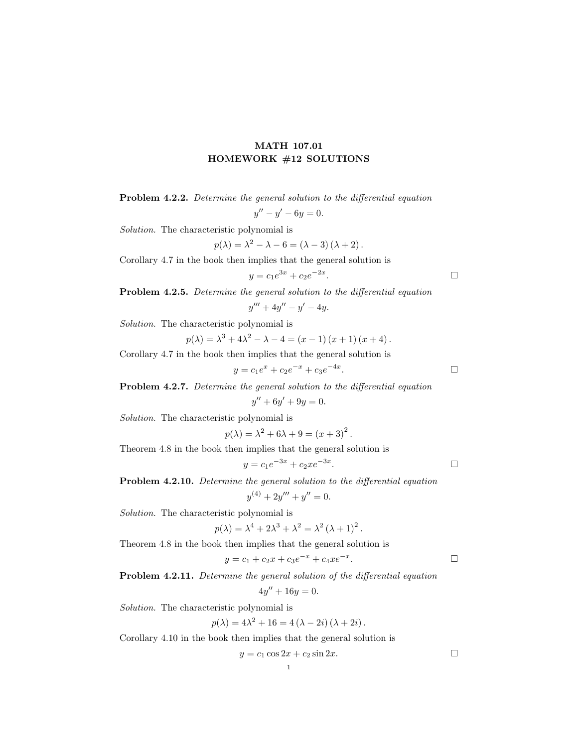## MATH 107.01 HOMEWORK #12 SOLUTIONS

| <b>Problem 4.2.2.</b> Determine the general solution to the differential equation |  |                      |  |  |
|-----------------------------------------------------------------------------------|--|----------------------|--|--|
|                                                                                   |  | $y'' - y' - 6y = 0.$ |  |  |

Solution. The characteristic polynomial is

$$
p(\lambda) = \lambda^2 - \lambda - 6 = (\lambda - 3)(\lambda + 2).
$$

Corollary 4.7 in the book then implies that the general solution is

$$
y = c_1 e^{3x} + c_2 e^{-2x}.
$$

Problem 4.2.5. Determine the general solution to the differential equation

 $y''' + 4y'' - y' - 4y.$ 

Solution. The characteristic polynomial is

$$
p(\lambda) = \lambda^3 + 4\lambda^2 - \lambda - 4 = (x - 1)(x + 1)(x + 4).
$$

Corollary 4.7 in the book then implies that the general solution is

$$
y = c_1 e^x + c_2 e^{-x} + c_3 e^{-4x}.
$$

Problem 4.2.7. Determine the general solution to the differential equation

$$
y'' + 6y' + 9y = 0.
$$

Solution. The characteristic polynomial is

$$
p(\lambda) = \lambda^2 + 6\lambda + 9 = (x+3)^2
$$
.

Theorem 4.8 in the book then implies that the general solution is

$$
y = c_1 e^{-3x} + c_2 x e^{-3x}.
$$

Problem 4.2.10. Determine the general solution to the differential equation

$$
y^{(4)} + 2y''' + y'' = 0.
$$

Solution. The characteristic polynomial is

$$
p(\lambda) = \lambda^4 + 2\lambda^3 + \lambda^2 = \lambda^2 (\lambda + 1)^2.
$$

Theorem 4.8 in the book then implies that the general solution is

$$
y = c_1 + c_2 x + c_3 e^{-x} + c_4 x e^{-x}.
$$

Problem 4.2.11. Determine the general solution of the differential equation

$$
4y'' + 16y = 0.
$$

Solution. The characteristic polynomial is

$$
p(\lambda) = 4\lambda^2 + 16 = 4(\lambda - 2i)(\lambda + 2i).
$$

Corollary 4.10 in the book then implies that the general solution is

$$
y = c_1 \cos 2x + c_2 \sin 2x.
$$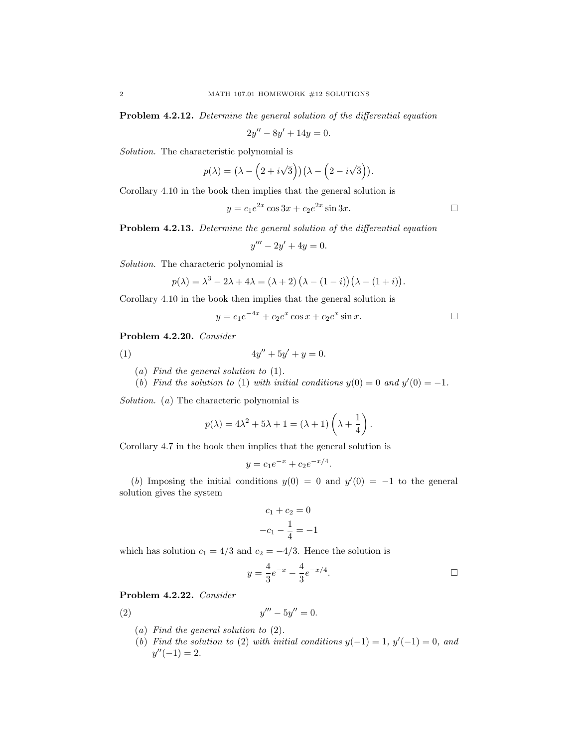Problem 4.2.12. Determine the general solution of the differential equation

 $2y'' - 8y' + 14y = 0.$ 

Solution. The characteristic polynomial is

$$
p(\lambda) = (\lambda - (2 + i\sqrt{3}))( \lambda - (2 - i\sqrt{3})).
$$

Corollary 4.10 in the book then implies that the general solution is

$$
y = c_1 e^{2x} \cos 3x + c_2 e^{2x} \sin 3x.
$$

Problem 4.2.13. Determine the general solution of the differential equation

$$
y''' - 2y' + 4y = 0.
$$

Solution. The characteric polynomial is

$$
p(\lambda) = \lambda^3 - 2\lambda + 4\lambda = (\lambda + 2) (\lambda - (1 - i)) (\lambda - (1 + i)).
$$

Corollary 4.10 in the book then implies that the general solution is

$$
y = c_1 e^{-4x} + c_2 e^x \cos x + c_2 e^x \sin x.
$$

Problem 4.2.20. Consider

(1) 
$$
4y'' + 5y' + y = 0.
$$

- (a) Find the general solution to (1).
- (b) Find the solution to (1) with initial conditions  $y(0) = 0$  and  $y'(0) = -1$ .

Solution. (a) The characteric polynomial is

$$
p(\lambda) = 4\lambda^2 + 5\lambda + 1 = (\lambda + 1)\left(\lambda + \frac{1}{4}\right).
$$

Corollary 4.7 in the book then implies that the general solution is

$$
y = c_1 e^{-x} + c_2 e^{-x/4}.
$$

(b) Imposing the initial conditions  $y(0) = 0$  and  $y'(0) = -1$  to the general solution gives the system

$$
c_1 + c_2 = 0
$$

$$
-c_1 - \frac{1}{4} = -1
$$

which has solution  $c_1 = 4/3$  and  $c_2 = -4/3$ . Hence the solution is

$$
y = \frac{4}{3}e^{-x} - \frac{4}{3}e^{-x/4}.
$$

Problem 4.2.22. Consider

(2) 
$$
y''' - 5y'' = 0.
$$

- (a) Find the general solution to (2).
- (b) Find the solution to (2) with initial conditions  $y(-1) = 1$ ,  $y'(-1) = 0$ , and  $y''(-1) = 2.$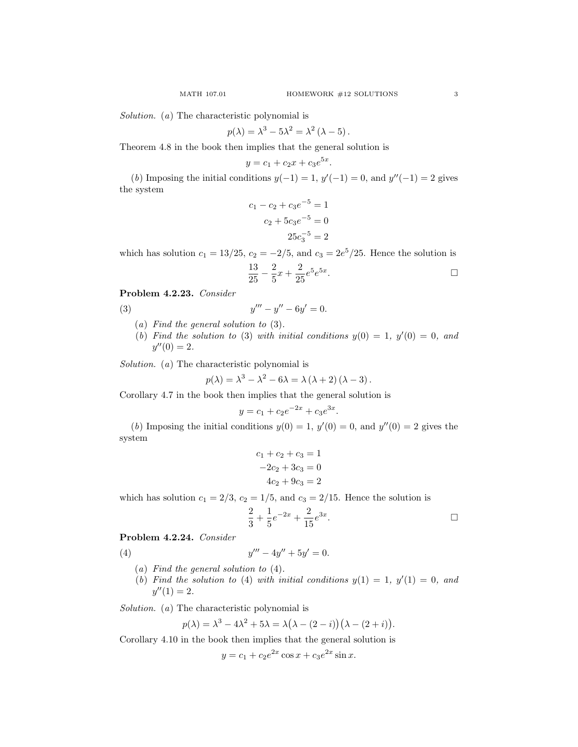Solution. (a) The characteristic polynomial is

$$
p(\lambda) = \lambda^3 - 5\lambda^2 = \lambda^2 (\lambda - 5).
$$

Theorem 4.8 in the book then implies that the general solution is

$$
y = c_1 + c_2 x + c_3 e^{5x}.
$$

(b) Imposing the initial conditions  $y(-1) = 1$ ,  $y'(-1) = 0$ , and  $y''(-1) = 2$  gives the system

$$
c_1 - c_2 + c_3 e^{-5} = 1
$$

$$
c_2 + 5c_3 e^{-5} = 0
$$

$$
25c_3^{-5} = 2
$$

which has solution  $c_1 = 13/25$ ,  $c_2 = -2/5$ , and  $c_3 = 2e^5/25$ . Hence the solution is

$$
\frac{13}{25} - \frac{2}{5}x + \frac{2}{25}e^5e^{5x}.
$$

Problem 4.2.23. Consider

$$
(3) \t\t y
$$

- (a) Find the general solution to (3).
- (b) Find the solution to (3) with initial conditions  $y(0) = 1$ ,  $y'(0) = 0$ , and  $y''(0) = 2.$

 $''' - y'' - 6y' = 0.$ 

Solution. (a) The characteristic polynomial is

$$
p(\lambda) = \lambda^3 - \lambda^2 - 6\lambda = \lambda(\lambda + 2)(\lambda - 3).
$$

Corollary 4.7 in the book then implies that the general solution is

$$
y = c_1 + c_2 e^{-2x} + c_3 e^{3x}.
$$

(b) Imposing the initial conditions  $y(0) = 1$ ,  $y'(0) = 0$ , and  $y''(0) = 2$  gives the system

$$
c_1 + c_2 + c_3 = 1
$$

$$
-2c_2 + 3c_3 = 0
$$

$$
4c_2 + 9c_3 = 2
$$

which has solution  $c_1 = 2/3$ ,  $c_2 = 1/5$ , and  $c_3 = 2/15$ . Hence the solution is

$$
\frac{2}{3} + \frac{1}{5}e^{-2x} + \frac{2}{15}e^{3x}.
$$

Problem 4.2.24. Consider

(4) 
$$
y''' - 4y'' + 5y' = 0.
$$

- (a) Find the general solution to (4).
- (b) Find the solution to (4) with initial conditions  $y(1) = 1$ ,  $y'(1) = 0$ , and  $y''(1) = 2.$

Solution. (a) The characteristic polynomial is

$$
p(\lambda) = \lambda^3 - 4\lambda^2 + 5\lambda = \lambda(\lambda - (2 - i))(\lambda - (2 + i)).
$$

Corollary 4.10 in the book then implies that the general solution is

$$
y = c_1 + c_2 e^{2x} \cos x + c_3 e^{2x} \sin x.
$$